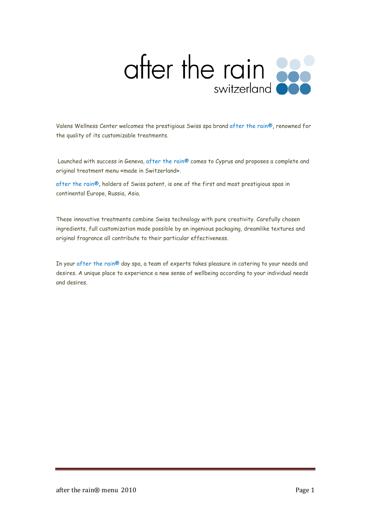

Valens Wellness Center welcomes the prestigious Swiss spa brand after the rain®, renowned for the quality of its customizable treatments.

 Launched with success in Geneva, after the rain® comes to Cyprus and proposes a complete and original treatment menu «made in Switzerland».

after the rain®, holders of Swiss patent, is one of the first and most prestigious spas in continental Europe, Russia, Asia.

These innovative treatments combine Swiss technology with pure creativity. Carefully chosen ingredients, full customization made possible by an ingenious packaging, dreamlike textures and original fragrance all contribute to their particular effectiveness.

In your after the rain® day spa, a team of experts takes pleasure in catering to your needs and desires. A unique place to experience a new sense of wellbeing according to your individual needs and desires.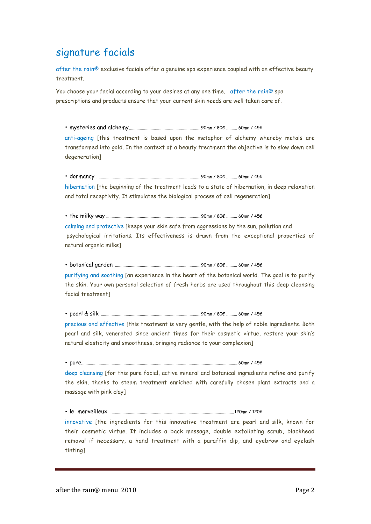### signature facials

after the rain® exclusive facials offer a genuine spa experience coupled with an effective beauty treatment.

You choose your facial according to your desires at any one time. after the rain® spa prescriptions and products ensure that your current skin needs are well taken care of.

• mysteries and alchemy .................................................................. 90mn / 80€ .......... 60mn / 45€ anti-ageing [this treatment is based upon the metaphor of alchemy whereby metals are transformed into gold. In the context of a beauty treatment the objective is to slow down cell degeneration] • dormancy ................................................................................................ 90mn / 80€ .......... 60mn / 45€ hibernation [the beginning of the treatment leads to a state of hibernation, in deep relaxation and total receptivity. It stimulates the biological process of cell regeneration] • the milky way ....................................................................................... 90mn / 80€ .......... 60mn / 45€ calming and protective [keeps your skin safe from aggressions by the sun, pollution and psychological irritations. Its effectiveness is drawn from the exceptional properties of natural organic milks] • botanical garden ............................................................................... 90mn / 80€ .......... 60mn / 45€ purifying and soothing [an experience in the heart of the botanical world. The goal is to purify the skin. Your own personal selection of fresh herbs are used throughout this deep cleansing facial treatment] • pearl & silk ............................................................................................ 90mn / 80€ .......... 60mn / 45€ precious and effective [this treatment is very gentle, with the help of noble ingredients. Both pearl and silk, venerated since ancient times for their cosmetic virtue, restore your skin's natural elasticity and smoothness, bringing radiance to your complexion] • pure.................................................................................................................................................60mn / 45€ deep cleansing [for this pure facial, active mineral and botanical ingredients refine and purify the skin, thanks to steam treatment enriched with carefully chosen plant extracts and a massage with pink clay]

• le merveilleux ................................................................................................................... 120mn / 120€

innovative [the ingredients for this innovative treatment are pearl and silk, known for their cosmetic virtue. It includes a back massage, double exfoliating scrub, blackhead removal if necessary, a hand treatment with a paraffin dip, and eyebrow and eyelash tinting]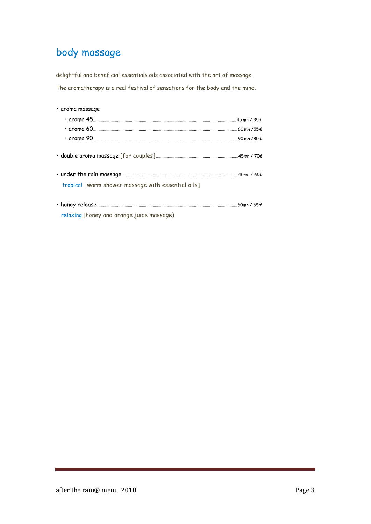# body massage

delightful and beneficial essentials oils associated with the art of massage. The aromatherapy is a real festival of sensations for the body and the mind.

| • aroma massage                                    |  |
|----------------------------------------------------|--|
|                                                    |  |
|                                                    |  |
|                                                    |  |
|                                                    |  |
|                                                    |  |
| tropical [warm shower massage with essential oils] |  |
|                                                    |  |
| relaxing [honey and orange juice massage)          |  |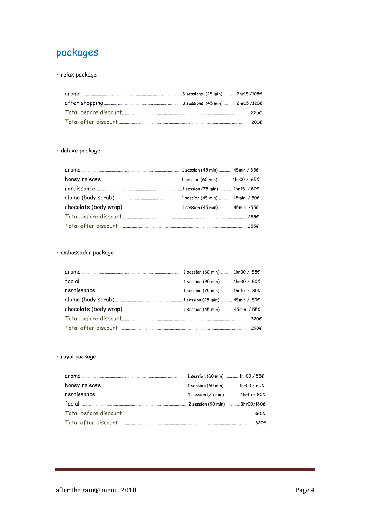## packages

• relax package

|  |  | 200€ |
|--|--|------|

#### • deluxe package

| $\textbf{Total before discount} \texttt{} \texttt{} \texttt{} \texttt{} \texttt{} \texttt{} \texttt{} \texttt{} \texttt{} \texttt{} \texttt{} \texttt{} \texttt{} \texttt{} \texttt{} \texttt{} \texttt{} \texttt{} \texttt{} \texttt{} \texttt{} \texttt{} \texttt{} \texttt{} \texttt{} \texttt{} \texttt{} \texttt{} \texttt{} \texttt{} \texttt{} \texttt{} \texttt{} \texttt{} \texttt{} \text$ |  |  |
|------------------------------------------------------------------------------------------------------------------------------------------------------------------------------------------------------------------------------------------------------------------------------------------------------------------------------------------------------------------------------------------------------|--|--|
| $\text{Total after discount}$ 2556                                                                                                                                                                                                                                                                                                                                                                   |  |  |

### • ambassador package

### • royal package

| Total after discount www.walluman.com/www.walluman.com/www.walluman.com/www.walluman.com/www.walluman.com/www. | 320 $\epsilon$ |
|----------------------------------------------------------------------------------------------------------------|----------------|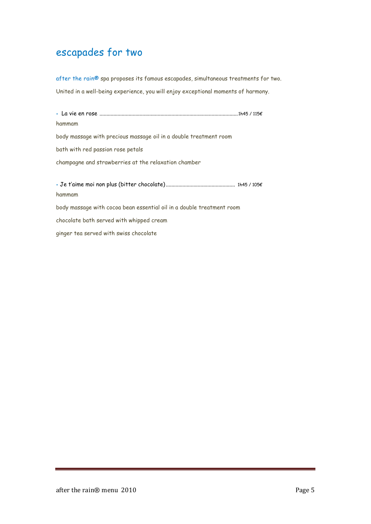### escapades for two

after the rain® spa proposes its famous escapades, simultaneous treatments for two. United in a well-being experience, you will enjoy exceptional moments of harmony.

• La vie en rose .................................................................................................... 1h45 / 115€ hammam body massage with precious massage oil in a double treatment room bath with red passion rose petals champagne and strawberries at the relaxation chamber • Je t'aime moi non plus (bitter chocolate) .................................................. 1h45 / 105€ hammam body massage with cocoa bean essential oil in a double treatment room chocolate bath served with whipped cream

ginger tea served with swiss chocolate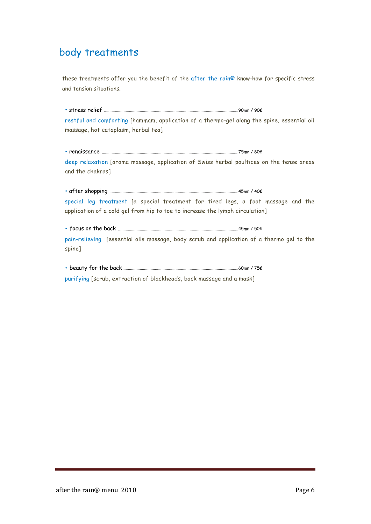## body treatments

these treatments offer you the benefit of the after the rain® know-how for specific stress and tension situations.

• stress relief ............................................................................................................................90mn / 90€ restful and comforting [hammam, application of a thermo-gel along the spine, essential oil massage, hot cataplasm, herbal tea]

• renaissance ..............................................................................................................................75mn / 80€ deep relaxation [aroma massage, application of Swiss herbal poultices on the tense areas and the chakras]

• after shopping .......................................................................................................................45mn / 40€ special leg treatment [a special treatment for tired legs, a foot massage and the application of a cold gel from hip to toe to increase the lymph circulation]

• focus on the back ...............................................................................................................45mn / 50€ pain-relieving [essential oils massage, body scrub and application of a thermo gel to the spine]

• beauty for the back ...........................................................................................................60mn / 75€

purifying [scrub, extraction of blackheads, back massage and a mask]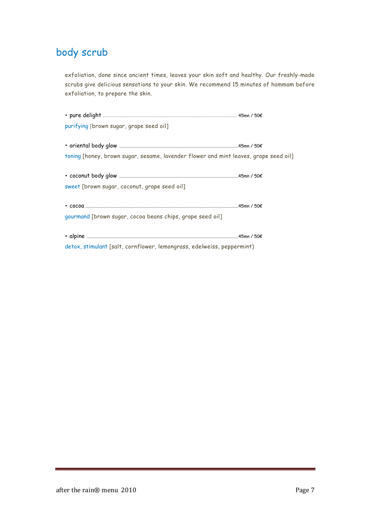## body scrub

exfoliation, done since ancient times, leaves your skin soft and healthy. Our freshly-made scrubs give delicious sensations to your skin. We recommend 15 minutes of hammam before exfoliation, to prepare the skin.

| purifying [brown sugar, grape seed oil]                                              |  |
|--------------------------------------------------------------------------------------|--|
|                                                                                      |  |
|                                                                                      |  |
| toning [honey, brown sugar, sesame, lavender flower and mint leaves, grape seed oil] |  |
|                                                                                      |  |
|                                                                                      |  |
| sweet [brown sugar, coconut, grape seed oil]                                         |  |
|                                                                                      |  |
|                                                                                      |  |
| gourmand [brown sugar, cocoa beans chips, grape seed oil]                            |  |
|                                                                                      |  |
|                                                                                      |  |
| detox, stimulant [salt, cornflower, lemongrass, edelweiss, peppermint)               |  |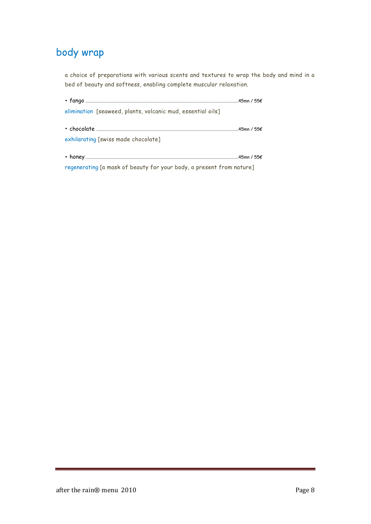# body wrap

a choice of preparations with various scents and textures to wrap the body and mind in a bed of beauty and softness, enabling complete muscular relaxation.

| elimination [seaweed, plants, volcanic mud, essential oils]          |  |  |  |
|----------------------------------------------------------------------|--|--|--|
|                                                                      |  |  |  |
|                                                                      |  |  |  |
| exhilarating [swiss made chocolate]                                  |  |  |  |
|                                                                      |  |  |  |
|                                                                      |  |  |  |
| regenerating [a mask of beauty for your body, a present from nature] |  |  |  |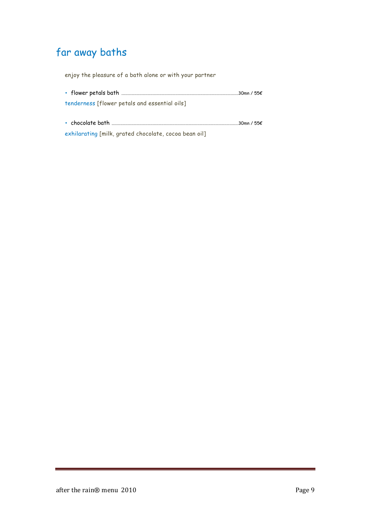# far away baths

enjoy the pleasure of a bath alone or with your partner

| tenderness [flower petals and essential oils] |             |  |
|-----------------------------------------------|-------------|--|
|                                               | …30mn / 55€ |  |

exhilarating [milk, grated chocolate, cocoa bean oil]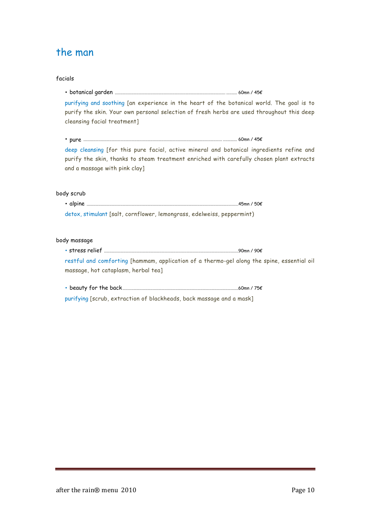### the man

## facials • botanical garden ...................................................................................................... .......... 60mn / 45€ purifying and soothing [an experience in the heart of the botanical world. The goal is to purify the skin. Your own personal selection of fresh herbs are used throughout this deep cleansing facial treatment] • pure ................................................................................................................................ ............. 60mn / 45€ deep cleansing [for this pure facial, active mineral and botanical ingredients refine and purify the skin, thanks to steam treatment enriched with carefully chosen plant extracts and a massage with pink clay] body scrub • alpine ............................................................................................................................................45mn / 50€ detox, stimulant [salt, cornflower, lemongrass, edelweiss, peppermint) body massage • stress relief ............................................................................................................................90mn / 90€ restful and comforting [hammam, application of a thermo-gel along the spine, essential oil massage, hot cataplasm, herbal tea] • beauty for the back ...........................................................................................................60mn / 75€ purifying [scrub, extraction of blackheads, back massage and a mask]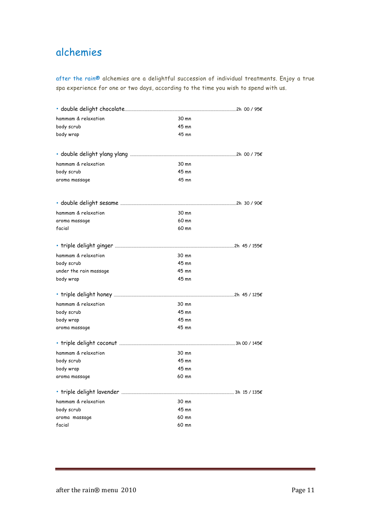## alchemies

after the rain® alchemies are a delightful succession of individual treatments. Enjoy a true spa experience for one or two days, according to the time you wish to spend with us.

| hammam & relaxation    | 30 mn   |  |
|------------------------|---------|--|
| body scrub             | $45$ mn |  |
| body wrap              | 45 mn   |  |
|                        |         |  |
|                        |         |  |
| hammam & relaxation    | 30 mn   |  |
| body scrub             | $45$ mn |  |
| aroma massage          | 45 mn   |  |
|                        |         |  |
|                        |         |  |
| hammam & relaxation    | 30 mn   |  |
| aroma massage          | 60 mn   |  |
| facial                 | 60 mn   |  |
|                        |         |  |
|                        |         |  |
| hammam & relaxation    | 30 mn   |  |
| body scrub             | $45$ mn |  |
| under the rain massage | 45 mn   |  |
| body wrap              | 45 mn   |  |
|                        |         |  |
| hammam & relaxation    | 30 mn   |  |
| body scrub             | $45$ mn |  |
| body wrap              | 45 mn   |  |
| aroma massage          | 45 mn   |  |
|                        |         |  |
|                        |         |  |
| hammam & relaxation    | 30 mn   |  |
| body scrub             | 45 mn   |  |
| body wrap              | 45 mn   |  |
| aroma massage          | 60 mn   |  |
|                        |         |  |
| hammam & relaxation    | 30 mn   |  |
| body scrub             | 45 mn   |  |
| aroma massage          | 60 mn   |  |
| facial                 | 60 mn   |  |
|                        |         |  |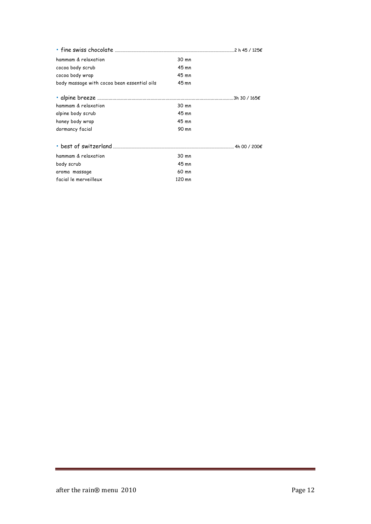| hammam & relaxation                         | 30 mn  |  |
|---------------------------------------------|--------|--|
| cocoa body scrub                            | 45 mn  |  |
| cocoa body wrap                             | 45 mn  |  |
| body massage with cocoa bean essential oils | 45 mn  |  |
|                                             |        |  |
| hammam & relaxation                         | 30 mn  |  |
| alpine body scrub                           | 45 mn  |  |
| honey body wrap                             | 45 mn  |  |
| dormancy facial                             | 90 mn  |  |
|                                             |        |  |
| hammam & relaxation                         | 30 mn  |  |
| body scrub                                  | 45 mn  |  |
| aroma massage                               | 60 mn  |  |
| facial le merveilleux                       | 120 mn |  |
|                                             |        |  |